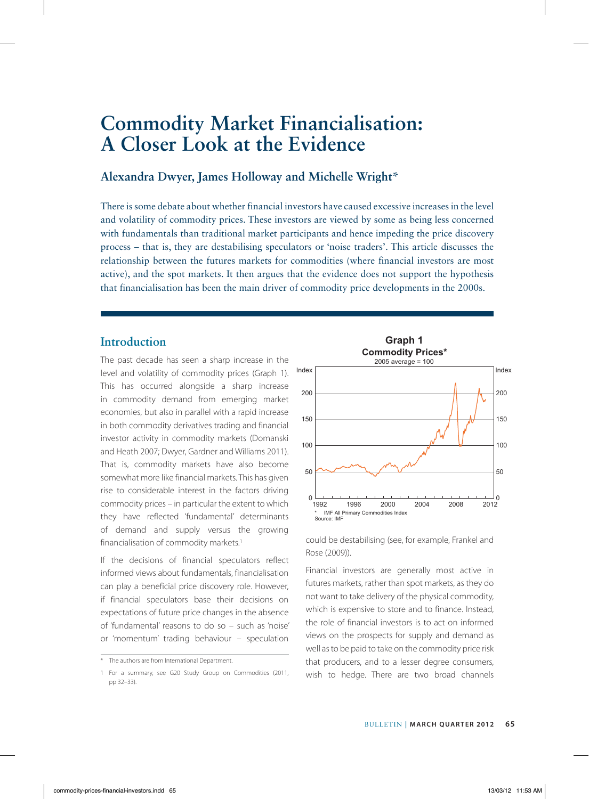# **Commodity Market Financialisation: A Closer Look at the Evidence**

## **Alexandra Dwyer, James Holloway and Michelle Wright\***

There is some debate about whether financial investors have caused excessive increases in the level and volatility of commodity prices. These investors are viewed by some as being less concerned with fundamentals than traditional market participants and hence impeding the price discovery process – that is, they are destabilising speculators or 'noise traders'. This article discusses the relationship between the futures markets for commodities (where financial investors are most active), and the spot markets. It then argues that the evidence does not support the hypothesis that financialisation has been the main driver of commodity price developments in the 2000s.

# **Introduction**

The past decade has seen a sharp increase in the level and volatility of commodity prices (Graph 1). This has occurred alongside a sharp increase in commodity demand from emerging market economies, but also in parallel with a rapid increase in both commodity derivatives trading and financial investor activity in commodity markets (Domanski and Heath 2007; Dwyer, Gardner and Williams 2011). That is, commodity markets have also become somewhat more like financial markets. This has given rise to considerable interest in the factors driving commodity prices – in particular the extent to which they have reflected 'fundamental' determinants of demand and supply versus the growing financialisation of commodity markets.<sup>1</sup>

If the decisions of financial speculators reflect informed views about fundamentals, financialisation can play a beneficial price discovery role. However, if financial speculators base their decisions on expectations of future price changes in the absence of 'fundamental' reasons to do so – such as 'noise' or 'momentum' trading behaviour – speculation



could be destabilising (see, for example, Frankel and Rose (2009)).

Financial investors are generally most active in futures markets, rather than spot markets, as they do not want to take delivery of the physical commodity, which is expensive to store and to finance. Instead, the role of financial investors is to act on informed views on the prospects for supply and demand as well as to be paid to take on the commodity price risk that producers, and to a lesser degree consumers, wish to hedge. There are two broad channels

<sup>\*</sup> The authors are from International Department.

<sup>1</sup> For a summary, see G20 Study Group on Commodities (2011, pp 32–33).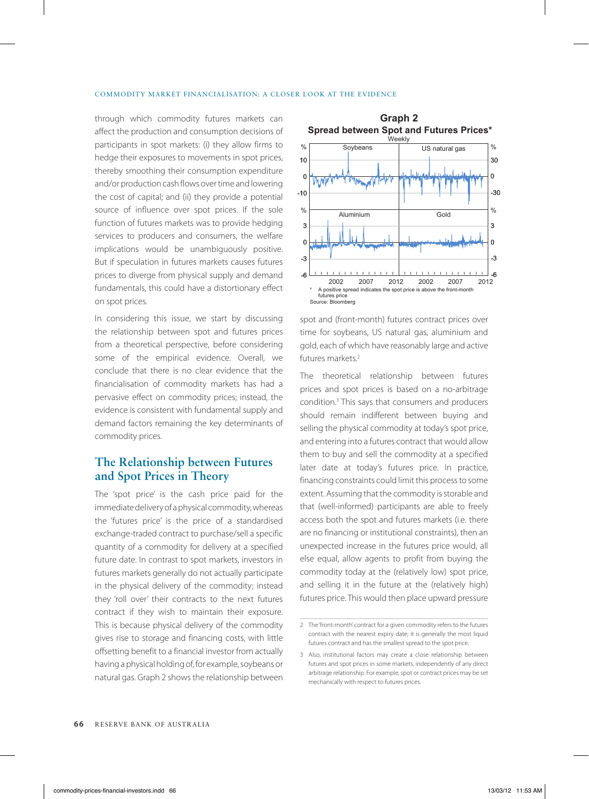#### COMMODITY MARKET FINANCIALISATION: A CLOSER LOOK AT THE EVIDENCE

through which commodity futures markets can affect the production and consumption decisions of participants in spot markets: (i) they allow firms to hedge their exposures to movements in spot prices, thereby smoothing their consumption expenditure and/or production cash flows over time and lowering the cost of capital; and (ii) they provide a potential source of influence over spot prices. If the sole function of futures markets was to provide hedging services to producers and consumers, the welfare implications would be unambiguously positive. But if speculation in futures markets causes futures prices to diverge from physical supply and demand fundamentals, this could have a distortionary effect on spot prices.

In considering this issue, we start by discussing the relationship between spot and futures prices from a theoretical perspective, before considering some of the empirical evidence. Overall, we conclude that there is no clear evidence that the financialisation of commodity markets has had a pervasive effect on commodity prices; instead, the evidence is consistent with fundamental supply and demand factors remaining the key determinants of commodity prices.

## **The Relationship between Futures and Spot Prices in Theory**

The 'spot price' is the cash price paid for the immediate delivery of a physical commodity, whereas the 'futures price' is the price of a standardised exchange-traded contract to purchase/sell a specific quantity of a commodity for delivery at a specified future date. In contrast to spot markets, investors in futures markets generally do not actually participate in the physical delivery of the commodity; instead they 'roll over' their contracts to the next futures contract if they wish to maintain their exposure. This is because physical delivery of the commodity gives rise to storage and financing costs, with little offsetting benefit to a financial investor from actually having a physical holding of, for example, soybeans or natural gas. Graph 2 shows the relationship between



spot and (front-month) futures contract prices over time for soybeans, US natural gas, aluminium and gold, each of which have reasonably large and active futures markets.2

The theoretical relationship between futures prices and spot prices is based on a no-arbitrage condition.3 This says that consumers and producers should remain indifferent between buying and selling the physical commodity at today's spot price, and entering into a futures contract that would allow them to buy and sell the commodity at a specified later date at today's futures price. In practice, financing constraints could limit this process to some extent. Assuming that the commodity is storable and that (well-informed) participants are able to freely access both the spot and futures markets (i.e. there are no financing or institutional constraints), then an unexpected increase in the futures price would, all else equal, allow agents to profit from buying the commodity today at the (relatively low) spot price, and selling it in the future at the (relatively high) futures price. This would then place upward pressure

<sup>2</sup> The 'front-month' contract for a given commodity refers to the futures contract with the nearest expiry date; it is generally the most liquid futures contract and has the smallest spread to the spot price.

<sup>3</sup> Also, institutional factors may create a close relationship between futures and spot prices in some markets, independently of any direct arbitrage relationship. For example, spot or contract prices may be set mechanically with respect to futures prices.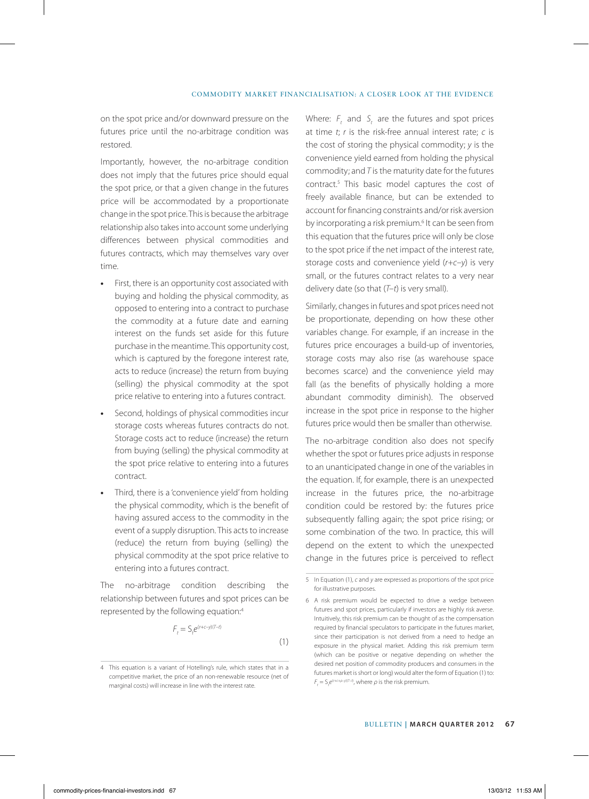on the spot price and/or downward pressure on the futures price until the no-arbitrage condition was restored.

Importantly, however, the no-arbitrage condition does not imply that the futures price should equal the spot price, or that a given change in the futures price will be accommodated by a proportionate change in the spot price. This is because the arbitrage relationship also takes into account some underlying differences between physical commodities and futures contracts, which may themselves vary over time.

- **•** First, there is an opportunity cost associated with buying and holding the physical commodity, as opposed to entering into a contract to purchase the commodity at a future date and earning interest on the funds set aside for this future purchase in the meantime. This opportunity cost, which is captured by the foregone interest rate, acts to reduce (increase) the return from buying (selling) the physical commodity at the spot price relative to entering into a futures contract.
- **•** Second, holdings of physical commodities incur storage costs whereas futures contracts do not. Storage costs act to reduce (increase) the return from buying (selling) the physical commodity at the spot price relative to entering into a futures contract.
- **•** Third, there is a 'convenience yield' from holding the physical commodity, which is the benefit of having assured access to the commodity in the event of a supply disruption. This acts to increase (reduce) the return from buying (selling) the physical commodity at the spot price relative to entering into a futures contract.

The no-arbitrage condition describing the relationship between futures and spot prices can be represented by the following equation:4

$$
F_t = S_t e^{(r+c-y)(T-t)}
$$

(1)

Where: *F*, and *S*, are the futures and spot prices at time *t*; *r* is the risk-free annual interest rate; *c* is the cost of storing the physical commodity; *y* is the convenience yield earned from holding the physical commodity; and *T* is the maturity date for the futures contract.5 This basic model captures the cost of freely available finance, but can be extended to account for financing constraints and/or risk aversion by incorporating a risk premium.<sup>6</sup> It can be seen from this equation that the futures price will only be close to the spot price if the net impact of the interest rate, storage costs and convenience yield (*r+c–y*) is very small, or the futures contract relates to a very near delivery date (so that (*T–t*) is very small).

Similarly, changes in futures and spot prices need not be proportionate, depending on how these other variables change. For example, if an increase in the futures price encourages a build-up of inventories, storage costs may also rise (as warehouse space becomes scarce) and the convenience yield may fall (as the benefits of physically holding a more abundant commodity diminish). The observed increase in the spot price in response to the higher futures price would then be smaller than otherwise.

The no-arbitrage condition also does not specify whether the spot or futures price adjusts in response to an unanticipated change in one of the variables in the equation. If, for example, there is an unexpected increase in the futures price, the no-arbitrage condition could be restored by: the futures price subsequently falling again; the spot price rising; or some combination of the two. In practice, this will depend on the extent to which the unexpected change in the futures price is perceived to reflect

<sup>4</sup> This equation is a variant of Hotelling's rule, which states that in a competitive market, the price of an non-renewable resource (net of marginal costs) will increase in line with the interest rate.

<sup>5</sup> In Equation (1), *c* and *y* are expressed as proportions of the spot price for illustrative purposes.

<sup>6</sup> A risk premium would be expected to drive a wedge between futures and spot prices, particularly if investors are highly risk averse. Intuitively, this risk premium can be thought of as the compensation required by financial speculators to participate in the futures market, since their participation is not derived from a need to hedge an exposure in the physical market. Adding this risk premium term (which can be positive or negative depending on whether the desired net position of commodity producers and consumers in the futures market is short or long) would alter the form of Equation (1) to:  $F_t = S_t e^{(r+c+\rho-y)(T-t)}$ , where  $\rho$  is the risk premium.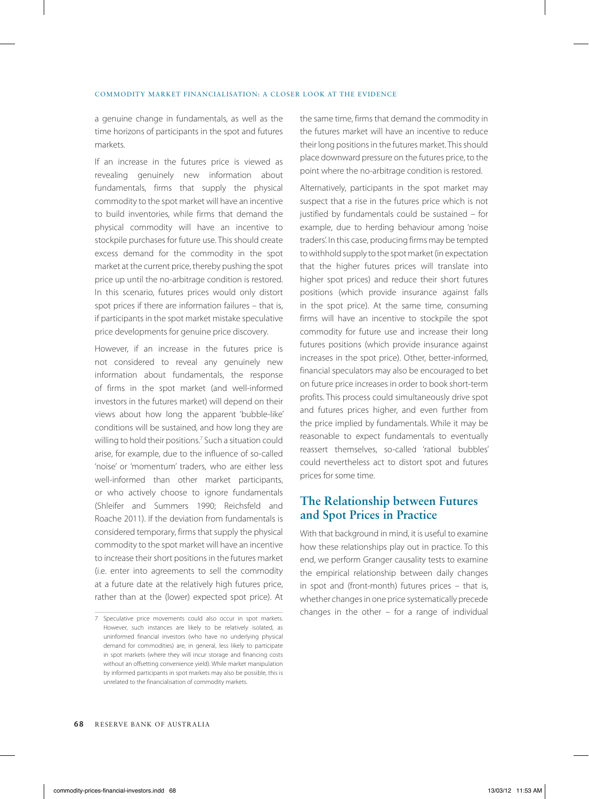a genuine change in fundamentals, as well as the time horizons of participants in the spot and futures markets.

If an increase in the futures price is viewed as revealing genuinely new information about fundamentals, firms that supply the physical commodity to the spot market will have an incentive to build inventories, while firms that demand the physical commodity will have an incentive to stockpile purchases for future use. This should create excess demand for the commodity in the spot market at the current price, thereby pushing the spot price up until the no-arbitrage condition is restored. In this scenario, futures prices would only distort spot prices if there are information failures – that is, if participants in the spot market mistake speculative price developments for genuine price discovery.

However, if an increase in the futures price is not considered to reveal any genuinely new information about fundamentals, the response of firms in the spot market (and well-informed investors in the futures market) will depend on their views about how long the apparent 'bubble-like' conditions will be sustained, and how long they are willing to hold their positions.7 Such a situation could arise, for example, due to the influence of so-called 'noise' or 'momentum' traders, who are either less well-informed than other market participants, or who actively choose to ignore fundamentals (Shleifer and Summers 1990; Reichsfeld and Roache 2011). If the deviation from fundamentals is considered temporary, firms that supply the physical commodity to the spot market will have an incentive to increase their short positions in the futures market (i.e. enter into agreements to sell the commodity at a future date at the relatively high futures price, rather than at the (lower) expected spot price). At

the same time, firms that demand the commodity in the futures market will have an incentive to reduce their long positions in the futures market. This should place downward pressure on the futures price, to the point where the no-arbitrage condition is restored.

Alternatively, participants in the spot market may suspect that a rise in the futures price which is not justified by fundamentals could be sustained – for example, due to herding behaviour among 'noise traders'. In this case, producing firms may be tempted to withhold supply to the spot market (in expectation that the higher futures prices will translate into higher spot prices) and reduce their short futures positions (which provide insurance against falls in the spot price). At the same time, consuming firms will have an incentive to stockpile the spot commodity for future use and increase their long futures positions (which provide insurance against increases in the spot price). Other, better-informed, financial speculators may also be encouraged to bet on future price increases in order to book short-term profits. This process could simultaneously drive spot and futures prices higher, and even further from the price implied by fundamentals. While it may be reasonable to expect fundamentals to eventually reassert themselves, so-called 'rational bubbles' could nevertheless act to distort spot and futures prices for some time.

## **The Relationship between Futures and Spot Prices in Practice**

With that background in mind, it is useful to examine how these relationships play out in practice. To this end, we perform Granger causality tests to examine the empirical relationship between daily changes in spot and (front-month) futures prices – that is, whether changes in one price systematically precede changes in the other  $-$  for a range of individual

<sup>7</sup> Speculative price movements could also occur in spot markets. However, such instances are likely to be relatively isolated, as uninformed financial investors (who have no underlying physical demand for commodities) are, in general, less likely to participate in spot markets (where they will incur storage and financing costs without an offsetting convenience yield). While market manipulation by informed participants in spot markets may also be possible, this is unrelated to the financialisation of commodity markets.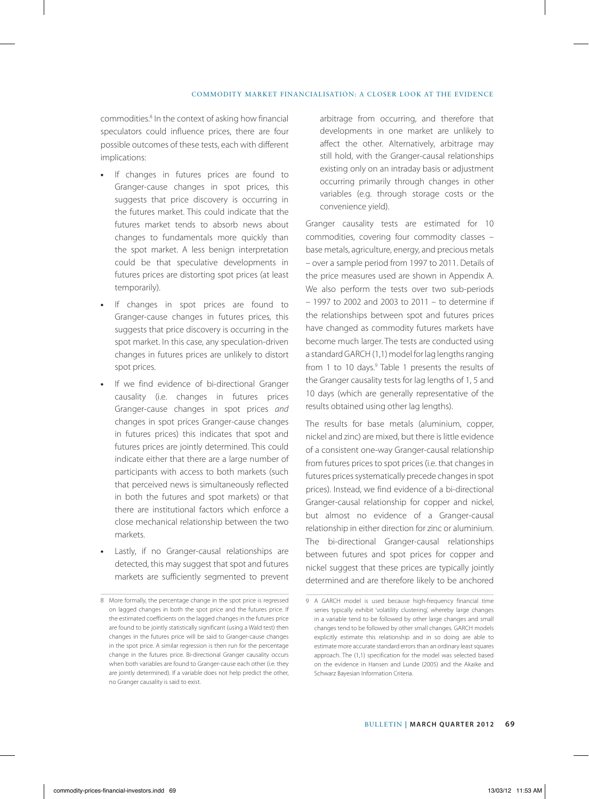#### COMMODITY MARKET FINANCIALISATION: A CLOSER LOOK AT THE EVIDENCE

commodities.<sup>8</sup> In the context of asking how financial speculators could influence prices, there are four possible outcomes of these tests, each with different implications:

- **•** If changes in futures prices are found to Granger-cause changes in spot prices, this suggests that price discovery is occurring in the futures market. This could indicate that the futures market tends to absorb news about changes to fundamentals more quickly than the spot market. A less benign interpretation could be that speculative developments in futures prices are distorting spot prices (at least temporarily).
- **•** If changes in spot prices are found to Granger-cause changes in futures prices, this suggests that price discovery is occurring in the spot market. In this case, any speculation-driven changes in futures prices are unlikely to distort spot prices.
- **•** If we find evidence of bi-directional Granger causality (i.e. changes in futures prices Granger-cause changes in spot prices *and* changes in spot prices Granger-cause changes in futures prices) this indicates that spot and futures prices are jointly determined. This could indicate either that there are a large number of participants with access to both markets (such that perceived news is simultaneously reflected in both the futures and spot markets) or that there are institutional factors which enforce a close mechanical relationship between the two markets.
- **•** Lastly, if no Granger-causal relationships are detected, this may suggest that spot and futures markets are sufficiently segmented to prevent

arbitrage from occurring, and therefore that developments in one market are unlikely to affect the other. Alternatively, arbitrage may still hold, with the Granger-causal relationships existing only on an intraday basis or adjustment occurring primarily through changes in other variables (e.g. through storage costs or the convenience yield).

Granger causality tests are estimated for 10 commodities, covering four commodity classes – base metals, agriculture, energy, and precious metals – over a sample period from 1997 to 2011. Details of the price measures used are shown in Appendix A. We also perform the tests over two sub-periods – 1997 to 2002 and 2003 to 2011 – to determine if the relationships between spot and futures prices have changed as commodity futures markets have become much larger. The tests are conducted using a standard GARCH (1,1) model for lag lengths ranging from 1 to 10 days.<sup>9</sup> Table 1 presents the results of the Granger causality tests for lag lengths of 1, 5 and 10 days (which are generally representative of the results obtained using other lag lengths).

The results for base metals (aluminium, copper, nickel and zinc) are mixed, but there is little evidence of a consistent one-way Granger-causal relationship from futures prices to spot prices (i.e. that changes in futures prices systematically precede changes in spot prices). Instead, we find evidence of a bi-directional Granger-causal relationship for copper and nickel, but almost no evidence of a Granger-causal relationship in either direction for zinc or aluminium. The bi-directional Granger-causal relationships between futures and spot prices for copper and nickel suggest that these prices are typically jointly determined and are therefore likely to be anchored

<sup>8</sup> More formally, the percentage change in the spot price is regressed on lagged changes in both the spot price and the futures price. If the estimated coefficients on the lagged changes in the futures price are found to be jointly statistically significant (using a Wald test) then changes in the futures price will be said to Granger-cause changes in the spot price. A similar regression is then run for the percentage change in the futures price. Bi-directional Granger causality occurs when both variables are found to Granger-cause each other (i.e. they are jointly determined). If a variable does not help predict the other, no Granger causality is said to exist.

<sup>9</sup> A GARCH model is used because high-frequency financial time series typically exhibit 'volatility clustering', whereby large changes in a variable tend to be followed by other large changes and small changes tend to be followed by other small changes. GARCH models explicitly estimate this relationship and in so doing are able to estimate more accurate standard errors than an ordinary least squares approach. The (1,1) specification for the model was selected based on the evidence in Hansen and Lunde (2005) and the Akaike and Schwarz Bayesian Information Criteria.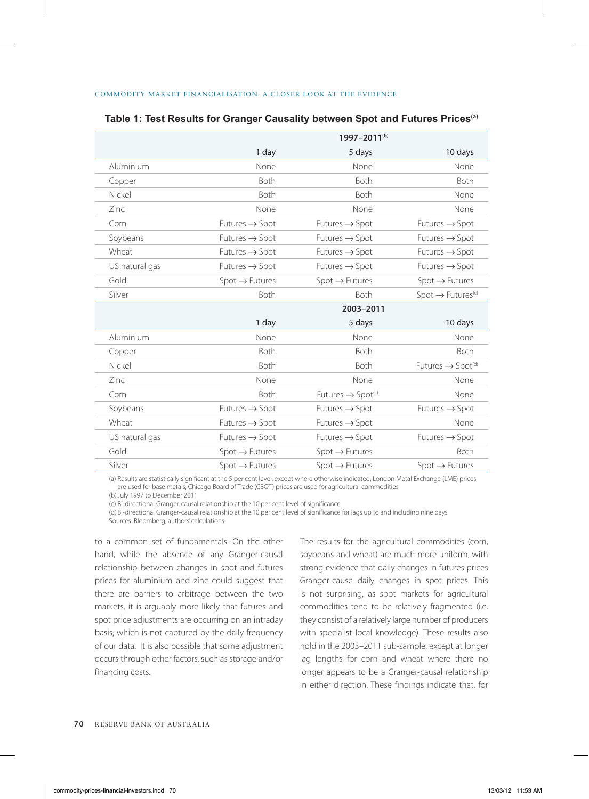|                | 1997-2011 <sup>(b)</sup>   |                                           |                                  |
|----------------|----------------------------|-------------------------------------------|----------------------------------|
|                | 1 day                      | 5 days                                    | 10 days                          |
| Aluminium      | None                       | None                                      | None                             |
| Copper         | Both                       | Both                                      | <b>Both</b>                      |
| Nickel         | Both                       | Both                                      | None                             |
| Zinc           | None                       | None                                      | None                             |
| Corn           | Futures $\rightarrow$ Spot | Futures $\rightarrow$ Spot                | Futures $\rightarrow$ Spot       |
| Soybeans       | Futures $\rightarrow$ Spot | Futures $\rightarrow$ Spot                | Futures $\rightarrow$ Spot       |
| Wheat          | Futures $\rightarrow$ Spot | Futures $\rightarrow$ Spot                | $Futures \rightarrow Spot$       |
| US natural gas | Futures $\rightarrow$ Spot | $Futures \rightarrow Spot$                | Futures $\rightarrow$ Spot       |
| Gold           | $Spot \rightarrow Futures$ | $Spot \rightarrow Futures$                | $Spot \rightarrow Futures$       |
| Silver         | Both                       | <b>Both</b>                               | $Spot \rightarrow Futures^{(c)}$ |
|                |                            | 2003-2011                                 |                                  |
|                | 1 day                      | 5 days                                    | 10 days                          |
| Aluminium      | None                       | None                                      | None                             |
| Copper         | Both                       | Both                                      | <b>Both</b>                      |
|                |                            |                                           |                                  |
| Nickel         | Both                       | Both                                      | Futures → Spot <sup>(d)</sup>    |
| Zinc           | None                       | None                                      | None                             |
| Corn           | Both                       | Futures $\rightarrow$ Spot <sup>(c)</sup> | None                             |
| Soybeans       | Futures $\rightarrow$ Spot | Futures $\rightarrow$ Spot                | Futures $\rightarrow$ Spot       |
| Wheat          | Futures $\rightarrow$ Spot | Futures $\rightarrow$ Spot                | None                             |
| US natural gas | Futures $\rightarrow$ Spot | Futures $\rightarrow$ Spot                | $Futures \rightarrow Spot$       |
| Gold           | $Spot \rightarrow Futures$ | $Spot \rightarrow Futures$                | Both                             |

#### **Table 1: Test Results for Granger Causality between Spot and Futures Prices(a)**

(a) Results are statistically significant at the 5 per cent level, except where otherwise indicated; London Metal Exchange (LME) prices are used for base metals, Chicago Board of Trade (CBOT) prices are used for agricultural commodities

(b)July 1997 to December 2011

(c) Bi-directional Granger-causal relationship at the 10 per cent level of significance

(d) Bi-directional Granger-causal relationship at the 10 per cent level of significance for lags up to and including nine days Sources: Bloomberg; authors' calculations

to a common set of fundamentals. On the other hand, while the absence of any Granger-causal relationship between changes in spot and futures prices for aluminium and zinc could suggest that there are barriers to arbitrage between the two markets, it is arguably more likely that futures and spot price adjustments are occurring on an intraday basis, which is not captured by the daily frequency of our data. It is also possible that some adjustment occurs through other factors, such as storage and/or financing costs.

The results for the agricultural commodities (corn, soybeans and wheat) are much more uniform, with strong evidence that daily changes in futures prices Granger-cause daily changes in spot prices. This is not surprising, as spot markets for agricultural commodities tend to be relatively fragmented (i.e. they consist of a relatively large number of producers with specialist local knowledge). These results also hold in the 2003–2011 sub-sample, except at longer lag lengths for corn and wheat where there no longer appears to be a Granger-causal relationship in either direction. These findings indicate that, for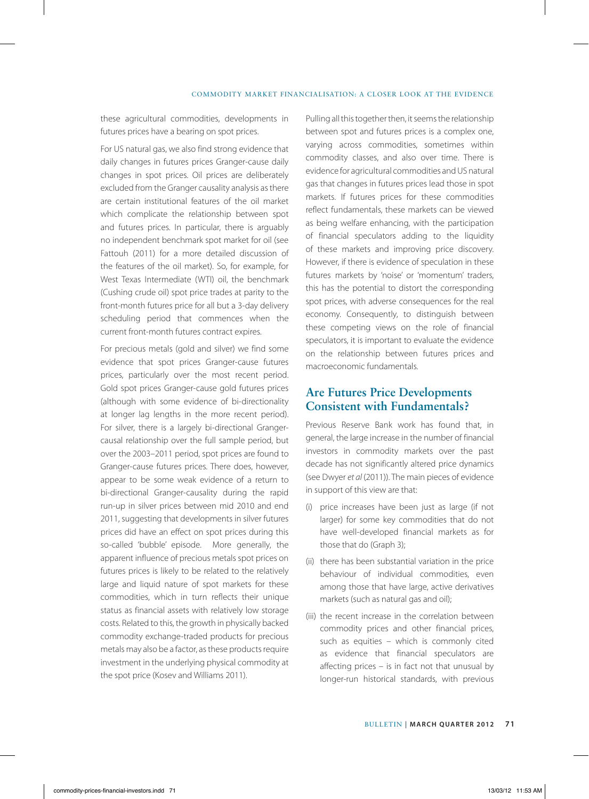#### COMMODITY MARKET FINANCIALISATION: A CLOSER LOOK AT THE EVIDENCE

these agricultural commodities, developments in futures prices have a bearing on spot prices.

For US natural gas, we also find strong evidence that daily changes in futures prices Granger-cause daily changes in spot prices. Oil prices are deliberately excluded from the Granger causality analysis as there are certain institutional features of the oil market which complicate the relationship between spot and futures prices. In particular, there is arguably no independent benchmark spot market for oil (see Fattouh (2011) for a more detailed discussion of the features of the oil market). So, for example, for West Texas Intermediate (WTI) oil, the benchmark (Cushing crude oil) spot price trades at parity to the front-month futures price for all but a 3-day delivery scheduling period that commences when the current front-month futures contract expires.

For precious metals (gold and silver) we find some evidence that spot prices Granger-cause futures prices, particularly over the most recent period. Gold spot prices Granger-cause gold futures prices (although with some evidence of bi-directionality at longer lag lengths in the more recent period). For silver, there is a largely bi-directional Grangercausal relationship over the full sample period, but over the 2003–2011 period, spot prices are found to Granger-cause futures prices. There does, however, appear to be some weak evidence of a return to bi-directional Granger-causality during the rapid run-up in silver prices between mid 2010 and end 2011, suggesting that developments in silver futures prices did have an effect on spot prices during this so-called 'bubble' episode. More generally, the apparent influence of precious metals spot prices on futures prices is likely to be related to the relatively large and liquid nature of spot markets for these commodities, which in turn reflects their unique status as financial assets with relatively low storage costs. Related to this, the growth in physically backed commodity exchange-traded products for precious metals may also be a factor, as these products require investment in the underlying physical commodity at the spot price (Kosev and Williams 2011).

Pulling all this together then, it seems the relationship between spot and futures prices is a complex one, varying across commodities, sometimes within commodity classes, and also over time. There is evidence for agricultural commodities and US natural gas that changes in futures prices lead those in spot markets. If futures prices for these commodities reflect fundamentals, these markets can be viewed as being welfare enhancing, with the participation of financial speculators adding to the liquidity of these markets and improving price discovery. However, if there is evidence of speculation in these futures markets by 'noise' or 'momentum' traders, this has the potential to distort the corresponding spot prices, with adverse consequences for the real economy. Consequently, to distinguish between these competing views on the role of financial speculators, it is important to evaluate the evidence on the relationship between futures prices and macroeconomic fundamentals.

## **Are Futures Price Developments Consistent with Fundamentals?**

Previous Reserve Bank work has found that, in general, the large increase in the number of financial investors in commodity markets over the past decade has not significantly altered price dynamics (see Dwyer *et al* (2011)). The main pieces of evidence in support of this view are that:

- (i) price increases have been just as large (if not larger) for some key commodities that do not have well-developed financial markets as for those that do (Graph 3);
- (ii) there has been substantial variation in the price behaviour of individual commodities, even among those that have large, active derivatives markets (such as natural gas and oil);
- (iii) the recent increase in the correlation between commodity prices and other financial prices, such as equities – which is commonly cited as evidence that financial speculators are affecting prices – is in fact not that unusual by longer-run historical standards, with previous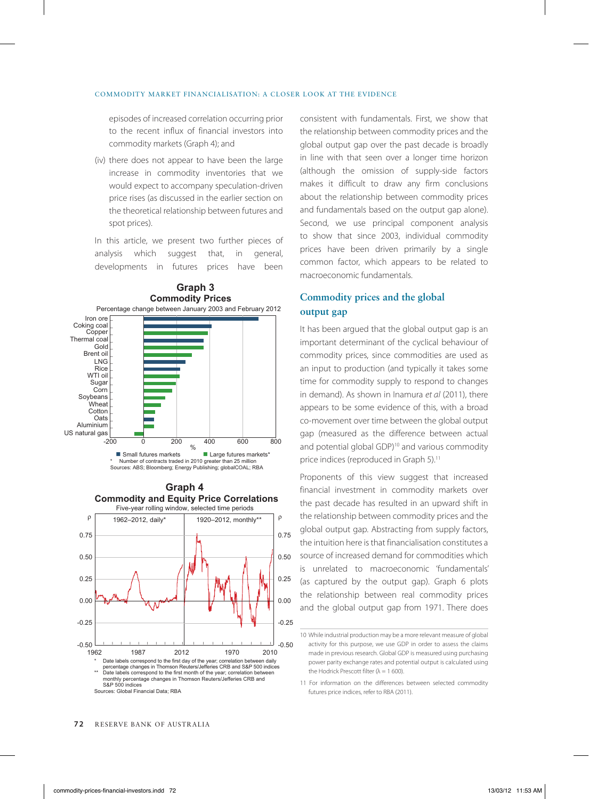episodes of increased correlation occurring prior to the recent influx of financial investors into commodity markets (Graph 4); and

(iv) there does not appear to have been the large increase in commodity inventories that we would expect to accompany speculation-driven price rises (as discussed in the earlier section on the theoretical relationship between futures and spot prices).

In this article, we present two further pieces of analysis which suggest that, in general, developments in futures prices have been



the relationship between commodity prices and the global output gap over the past decade is broadly in line with that seen over a longer time horizon (although the omission of supply-side factors makes it difficult to draw any firm conclusions about the relationship between commodity prices and fundamentals based on the output gap alone). Second, we use principal component analysis to show that since 2003, individual commodity prices have been driven primarily by a single common factor, which appears to be related to macroeconomic fundamentals.

consistent with fundamentals. First, we show that

#### **Commodity prices and the global output gap**

It has been argued that the global output gap is an important determinant of the cyclical behaviour of commodity prices, since commodities are used as an input to production (and typically it takes some time for commodity supply to respond to changes in demand). As shown in Inamura *et al* (2011), there appears to be some evidence of this, with a broad co-movement over time between the global output gap (measured as the difference between actual and potential global GDP)<sup>10</sup> and various commodity price indices (reproduced in Graph 5).<sup>11</sup>

Proponents of this view suggest that increased financial investment in commodity markets over the past decade has resulted in an upward shift in the relationship between commodity prices and the global output gap. Abstracting from supply factors, the intuition here is that financialisation constitutes a source of increased demand for commodities which is unrelated to macroeconomic 'fundamentals' (as captured by the output gap). Graph 6 plots the relationship between real commodity prices and the global output gap from 1971. There does

<sup>10</sup> While industrial production may be a more relevant measure of global activity for this purpose, we use GDP in order to assess the claims made in previous research. Global GDP is measured using purchasing power parity exchange rates and potential output is calculated using the Hodrick Prescott filter ( $\lambda = 1$  600).

<sup>11</sup> For information on the differences between selected commodity futures price indices, refer to RBA (2011).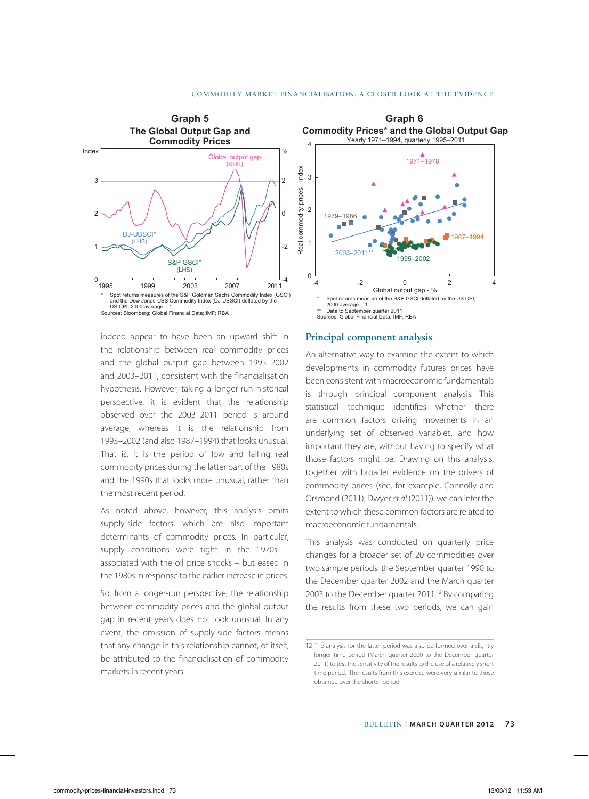

indeed appear to have been an upward shift in the relationship between real commodity prices and the global output gap between 1995–2002 and 2003–2011, consistent with the financialisation hypothesis. However, taking a longer-run historical perspective, it is evident that the relationship observed over the 2003–2011 period is around average, whereas it is the relationship from 1995–2002 (and also 1987–1994) that looks unusual. That is, it is the period of low and falling real commodity prices during the latter part of the 1980s and the 1990s that looks more unusual, rather than the most recent period.

As noted above, however, this analysis omits supply-side factors, which are also important determinants of commodity prices. In particular, supply conditions were tight in the 1970s – associated with the oil price shocks – but eased in the 1980s in response to the earlier increase in prices.

So, from a longer-run perspective, the relationship between commodity prices and the global output gap in recent years does not look unusual. In any event, the omission of supply-side factors means that any change in this relationship cannot, of itself, be attributed to the financialisation of commodity markets in recent years.



#### **Principal component analysis**

An alternative way to examine the extent to which developments in commodity futures prices have been consistent with macroeconomic fundamentals is through principal component analysis. This statistical technique identifies whether there are common factors driving movements in an underlying set of observed variables, and how important they are, without having to specify what those factors might be. Drawing on this analysis, together with broader evidence on the drivers of commodity prices (see, for example, Connolly and Orsmond (2011); Dwyer *et al* (2011)), we can infer the extent to which these common factors are related to macroeconomic fundamentals.

This analysis was conducted on quarterly price changes for a broader set of 20 commodities over two sample periods: the September quarter 1990 to the December quarter 2002 and the March quarter 2003 to the December quarter 2011.<sup>12</sup> By comparing the results from these two periods, we can gain

<sup>12</sup> The analysis for the latter period was also performed over a slightly longer time period (March quarter 2000 to the December quarter 2011) to test the sensitivity of the results to the use of a relatively short time period. The results from this exercise were very similar to those obtained over the shorter period.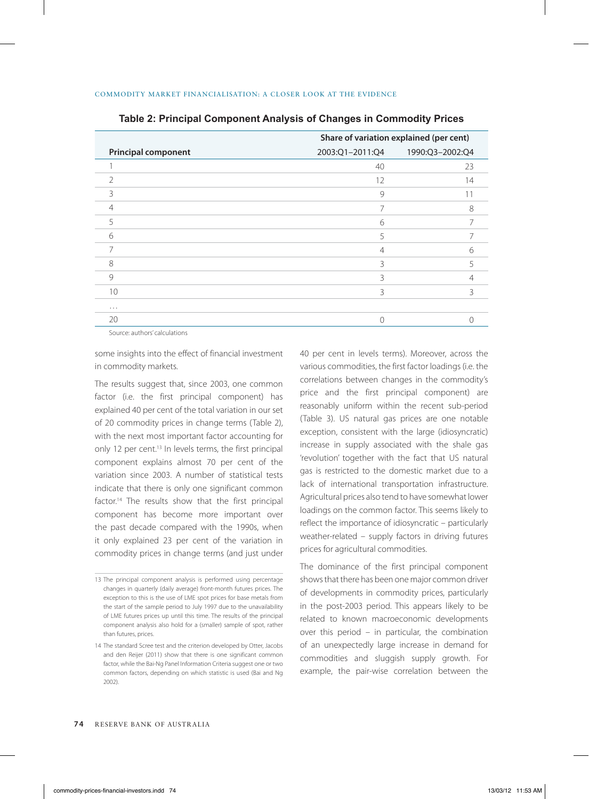|                            | Share of variation explained (per cent) |                                 |
|----------------------------|-----------------------------------------|---------------------------------|
| <b>Principal component</b> |                                         | 2003:Q1-2011:Q4 1990:Q3-2002:Q4 |
|                            | 40                                      | 23                              |
| $\mathcal{P}$              | 12                                      | 14                              |
| 3                          | 9                                       | 11                              |
| 4                          | $\overline{7}$                          | 8                               |
| 5                          | 6                                       |                                 |
| 6                          | 5                                       |                                 |
| 7                          | $\overline{4}$                          | 6                               |
| 8                          | 3                                       |                                 |
| 9                          | 3                                       |                                 |
| 10                         | 3                                       | ζ                               |
| $\cdots$                   |                                         |                                 |
| 20                         | $\Omega$                                |                                 |
|                            |                                         |                                 |

**Table 2: Principal Component Analysis of Changes in Commodity Prices**

Source: authors' calculations

some insights into the effect of financial investment in commodity markets.

The results suggest that, since 2003, one common factor (i.e. the first principal component) has explained 40 per cent of the total variation in our set of 20 commodity prices in change terms (Table 2), with the next most important factor accounting for only 12 per cent.<sup>13</sup> In levels terms, the first principal component explains almost 70 per cent of the variation since 2003. A number of statistical tests indicate that there is only one significant common factor.14 The results show that the first principal component has become more important over the past decade compared with the 1990s, when it only explained 23 per cent of the variation in commodity prices in change terms (and just under 40 per cent in levels terms). Moreover, across the various commodities, the first factor loadings (i.e. the correlations between changes in the commodity's price and the first principal component) are reasonably uniform within the recent sub-period (Table 3). US natural gas prices are one notable exception, consistent with the large (idiosyncratic) increase in supply associated with the shale gas 'revolution' together with the fact that US natural gas is restricted to the domestic market due to a lack of international transportation infrastructure. Agricultural prices also tend to have somewhat lower loadings on the common factor. This seems likely to reflect the importance of idiosyncratic – particularly weather-related – supply factors in driving futures prices for agricultural commodities.

The dominance of the first principal component shows that there has been one major common driver of developments in commodity prices, particularly in the post-2003 period. This appears likely to be related to known macroeconomic developments over this period – in particular, the combination of an unexpectedly large increase in demand for commodities and sluggish supply growth. For example, the pair-wise correlation between the

<sup>13</sup> The principal component analysis is performed using percentage changes in quarterly (daily average) front-month futures prices. The exception to this is the use of LME spot prices for base metals from the start of the sample period to July 1997 due to the unavailability of LME futures prices up until this time. The results of the principal component analysis also hold for a (smaller) sample of spot, rather than futures, prices.

<sup>14</sup> The standard Scree test and the criterion developed by Otter, Jacobs and den Reijer (2011) show that there is one significant common factor, while the Bai-Ng Panel Information Criteria suggest one or two common factors, depending on which statistic is used (Bai and Ng 2002).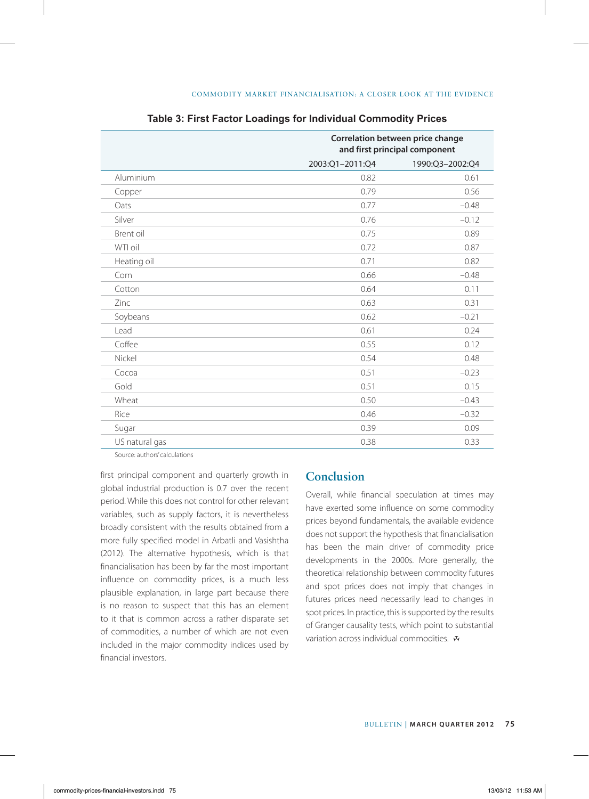|                | Correlation between price change<br>and first principal component |                 |
|----------------|-------------------------------------------------------------------|-----------------|
|                | 2003:Q1-2011:Q4                                                   | 1990:Q3-2002:Q4 |
| Aluminium      | 0.82                                                              | 0.61            |
| Copper         | 0.79                                                              | 0.56            |
| Oats           | 0.77                                                              | $-0.48$         |
| Silver         | 0.76                                                              | $-0.12$         |
| Brent oil      | 0.75                                                              | 0.89            |
| WTI oil        | 0.72                                                              | 0.87            |
| Heating oil    | 0.71                                                              | 0.82            |
| Corn           | 0.66                                                              | $-0.48$         |
| Cotton         | 0.64                                                              | 0.11            |
| Zinc           | 0.63                                                              | 0.31            |
| Soybeans       | 0.62                                                              | $-0.21$         |
| Lead           | 0.61                                                              | 0.24            |
| Coffee         | 0.55                                                              | 0.12            |
| Nickel         | 0.54                                                              | 0.48            |
| Cocoa          | 0.51                                                              | $-0.23$         |
| Gold           | 0.51                                                              | 0.15            |
| Wheat          | 0.50                                                              | $-0.43$         |
| Rice           | 0.46                                                              | $-0.32$         |
| Sugar          | 0.39                                                              | 0.09            |
| US natural gas | 0.38                                                              | 0.33            |

#### **Table 3: First Factor Loadings for Individual Commodity Prices**

Source: authors' calculations

first principal component and quarterly growth in global industrial production is 0.7 over the recent period. While this does not control for other relevant variables, such as supply factors, it is nevertheless broadly consistent with the results obtained from a more fully specified model in Arbatli and Vasishtha (2012). The alternative hypothesis, which is that financialisation has been by far the most important influence on commodity prices, is a much less plausible explanation, in large part because there is no reason to suspect that this has an element to it that is common across a rather disparate set of commodities, a number of which are not even included in the major commodity indices used by financial investors.

## **Conclusion**

Overall, while financial speculation at times may have exerted some influence on some commodity prices beyond fundamentals, the available evidence does not support the hypothesis that financialisation has been the main driver of commodity price developments in the 2000s. More generally, the theoretical relationship between commodity futures and spot prices does not imply that changes in futures prices need necessarily lead to changes in spot prices. In practice, this is supported by the results of Granger causality tests, which point to substantial variation across individual commodities.  $\mathbf{\ddot{v}}$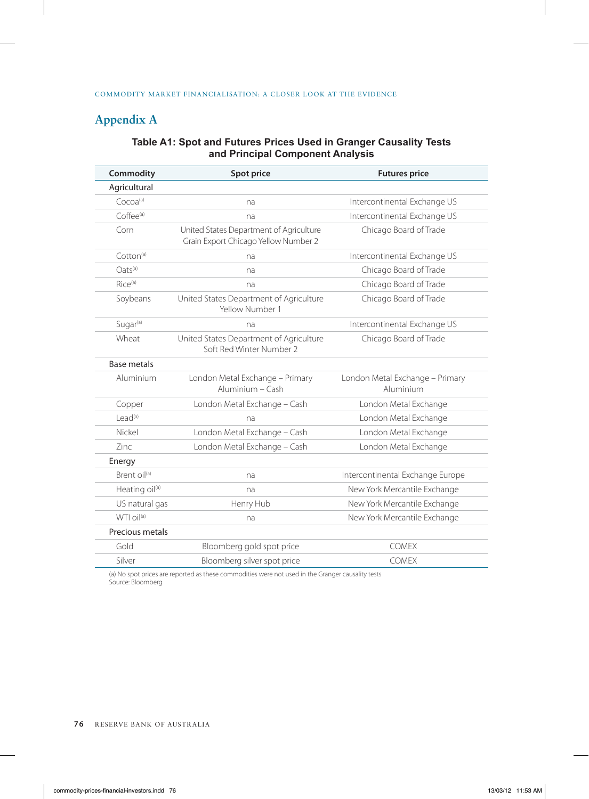# **Appendix A**

## **Table A1: Spot and Futures Prices Used in Granger Causality Tests and Principal Component Analysis**

| Commodity                  | <b>Spot price</b>                                                               | <b>Futures price</b>                         |
|----------------------------|---------------------------------------------------------------------------------|----------------------------------------------|
| Agricultural               |                                                                                 |                                              |
| Cocoa <sup>(a)</sup>       | na                                                                              | Intercontinental Exchange US                 |
| $Coffee^{(a)}$             | na                                                                              | Intercontinental Exchange US                 |
| Corn                       | United States Department of Agriculture<br>Grain Export Chicago Yellow Number 2 | Chicago Board of Trade                       |
| $Cotton^{(a)}$             | na                                                                              | Intercontinental Exchange US                 |
| $Oats^{(a)}$               | na                                                                              | Chicago Board of Trade                       |
| $Rice^{(a)}$               | na                                                                              | Chicago Board of Trade                       |
| Soybeans                   | United States Department of Agriculture<br>Yellow Number 1                      | Chicago Board of Trade                       |
| Sugar <sup>(a)</sup>       | na                                                                              | Intercontinental Exchange US                 |
| Wheat                      | United States Department of Agriculture<br>Soft Red Winter Number 2             | Chicago Board of Trade                       |
| <b>Base metals</b>         |                                                                                 |                                              |
| Aluminium                  | London Metal Exchange - Primary<br>Aluminium - Cash                             | London Metal Exchange - Primary<br>Aluminium |
| Copper                     | London Metal Exchange - Cash                                                    | London Metal Exchange                        |
| lead <sup>(a)</sup>        | na                                                                              | London Metal Exchange                        |
| Nickel                     | London Metal Exchange - Cash                                                    | London Metal Exchange                        |
| Zinc                       | London Metal Exchange - Cash                                                    | London Metal Exchange                        |
| Energy                     |                                                                                 |                                              |
| Brent oil <sup>(a)</sup>   | na                                                                              | Intercontinental Exchange Europe             |
| Heating oil <sup>(a)</sup> | na                                                                              | New York Mercantile Exchange                 |
| US natural gas             | Henry Hub                                                                       | New York Mercantile Exchange                 |
| $WTI$ $OI^{(a)}$           | na                                                                              | New York Mercantile Exchange                 |
| Precious metals            |                                                                                 |                                              |
| Gold                       | Bloomberg gold spot price                                                       | <b>COMEX</b>                                 |
| Silver                     | Bloomberg silver spot price                                                     | <b>COMEX</b>                                 |

(a) No spot prices are reported as these commodities were not used in the Granger causality tests Source: Bloomberg